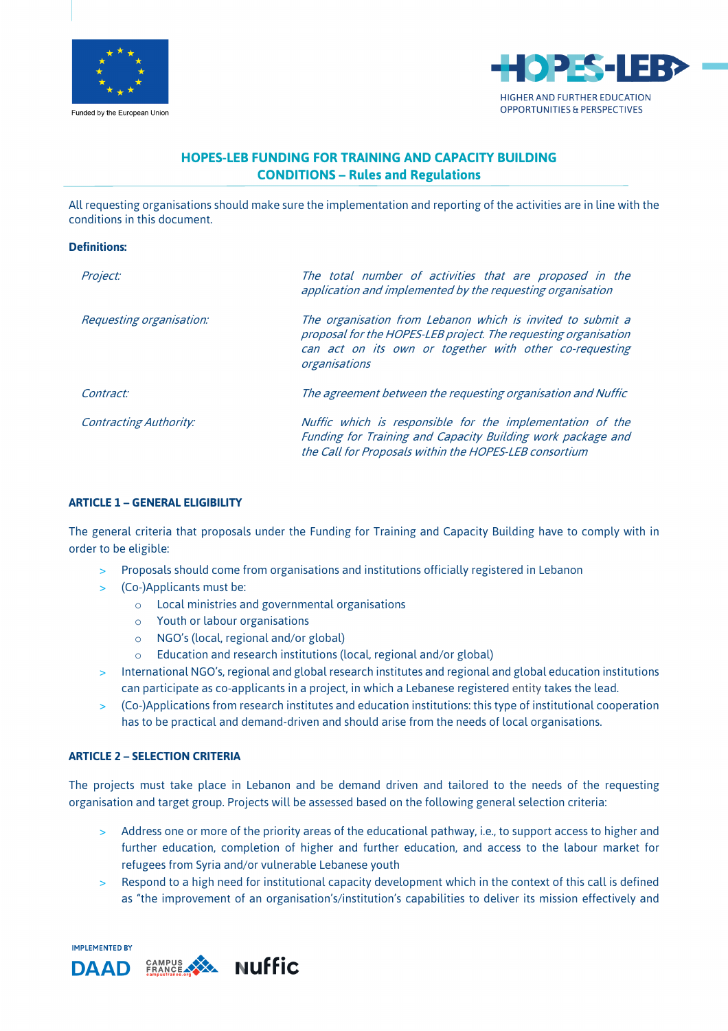



# **HOPES-LEB FUNDING FOR TRAINING AND CAPACITY BUILDING CONDITIONS – Rules and Regulations**

All requesting organisations should make sure the implementation and reporting of the activities are in line with the conditions in this document.

#### **Definitions:**

| Project:                      | The total number of activities that are proposed in the<br>application and implemented by the requesting organisation                                                                                     |
|-------------------------------|-----------------------------------------------------------------------------------------------------------------------------------------------------------------------------------------------------------|
| Requesting organisation:      | The organisation from Lebanon which is invited to submit a<br>proposal for the HOPES-LEB project. The requesting organisation<br>can act on its own or together with other co-requesting<br>organisations |
| Contract:                     | The agreement between the requesting organisation and Nuffic                                                                                                                                              |
| <b>Contracting Authority:</b> | Nuffic which is responsible for the implementation of the<br>Funding for Training and Capacity Building work package and<br>the Call for Proposals within the HOPES-LEB consortium                        |

#### **ARTICLE 1 – GENERAL ELIGIBILITY**

The general criteria that proposals under the Funding for Training and Capacity Building have to comply with in order to be eligible:

- > Proposals should come from organisations and institutions officially registered in Lebanon
- > (Co-)Applicants must be:
	- o Local ministries and governmental organisations
	- o Youth or labour organisations
	- o NGO's (local, regional and/or global)
	- o Education and research institutions (local, regional and/or global)
- > International NGO's, regional and global research institutes and regional and global education institutions can participate as co-applicants in a project, in which a Lebanese registered entity takes the lead.
- > (Co-)Applications from research institutes and education institutions: this type of institutional cooperation has to be practical and demand-driven and should arise from the needs of local organisations.

#### **ARTICLE 2 – SELECTION CRITERIA**

The projects must take place in Lebanon and be demand driven and tailored to the needs of the requesting organisation and target group. Projects will be assessed based on the following general selection criteria:

- > Address one or more of the priority areas of the educational pathway, i.e., to support access to higher and further education, completion of higher and further education, and access to the labour market for refugees from Syria and/or vulnerable Lebanese youth
- > Respond to a high need for institutional capacity development which in the context of this call is defined as "the improvement of an organisation's/institution's capabilities to deliver its mission effectively and

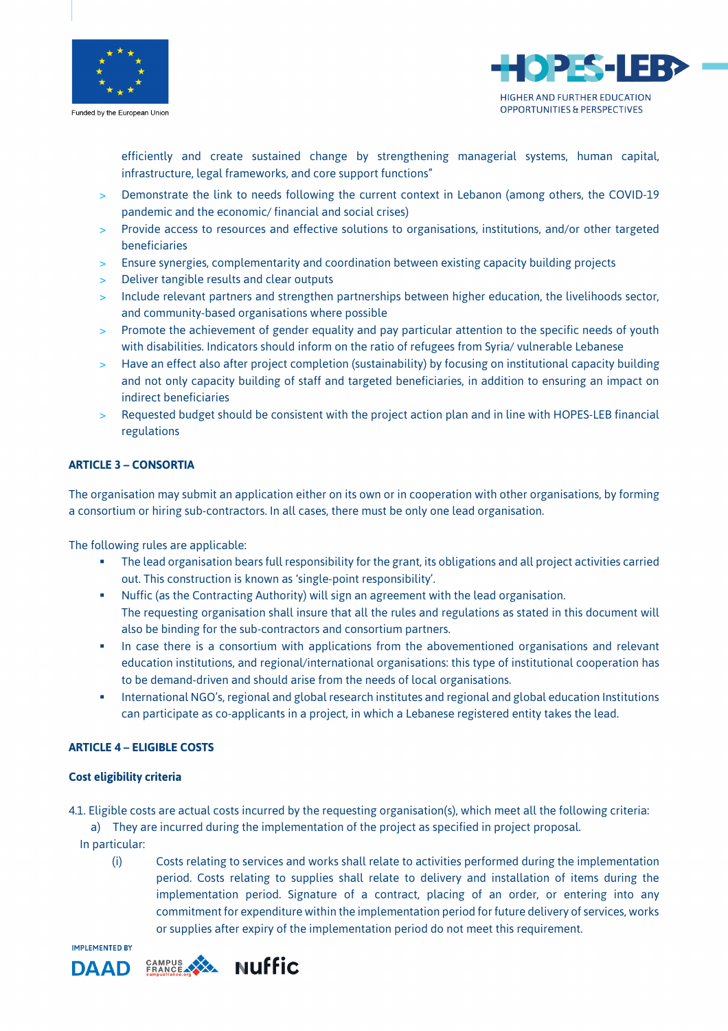

Funded by the European Union



efficiently and create sustained change by strengthening managerial systems, human capital, infrastructure, legal frameworks, and core support functions"

- > Demonstrate the link to needs following the current context in Lebanon (among others, the COVID-19 pandemic and the economic/ financial and social crises)
- > Provide access to resources and effective solutions to organisations, institutions, and/or other targeted beneficiaries
- > Ensure synergies, complementarity and coordination between existing capacity building projects
- > Deliver tangible results and clear outputs
- > Include relevant partners and strengthen partnerships between higher education, the livelihoods sector, and community-based organisations where possible
- > Promote the achievement of gender equality and pay particular attention to the specific needs of youth with disabilities. Indicators should inform on the ratio of refugees from Syria/ vulnerable Lebanese
- > Have an effect also after project completion (sustainability) by focusing on institutional capacity building and not only capacity building of staff and targeted beneficiaries, in addition to ensuring an impact on indirect beneficiaries
- > Requested budget should be consistent with the project action plan and in line with HOPES-LEB financial regulations

#### **ARTICLE 3 – CONSORTIA**

The organisation may submit an application either on its own or in cooperation with other organisations, by forming a consortium or hiring sub-contractors. In all cases, there must be only one lead organisation.

The following rules are applicable:

- The lead organisation bears full responsibility for the grant, its obligations and all project activities carried out. This construction is known as 'single-point responsibility'.
- **Nuffic (as the Contracting Authority) will sign an agreement with the lead organisation.**
- The requesting organisation shall insure that all the rules and regulations as stated in this document will also be binding for the sub-contractors and consortium partners.
- **•** In case there is a consortium with applications from the abovementioned organisations and relevant education institutions, and regional/international organisations: this type of institutional cooperation has to be demand-driven and should arise from the needs of local organisations.
- International NGO's, regional and global research institutes and regional and global education Institutions can participate as co-applicants in a project, in which a Lebanese registered entity takes the lead.

## **ARTICLE 4 – ELIGIBLE COSTS**

#### **Cost eligibility criteria**

4.1. Eligible costs are actual costs incurred by the requesting organisation(s), which meet all the following criteria:

a) They are incurred during the implementation of the project as specified in project proposal.

- In particular:
	- (i) Costs relating to services and works shall relate to activities performed during the implementation period. Costs relating to supplies shall relate to delivery and installation of items during the implementation period. Signature of a contract, placing of an order, or entering into any commitment for expenditure within the implementation period for future delivery of services, works or supplies after expiry of the implementation period do not meet this requirement.

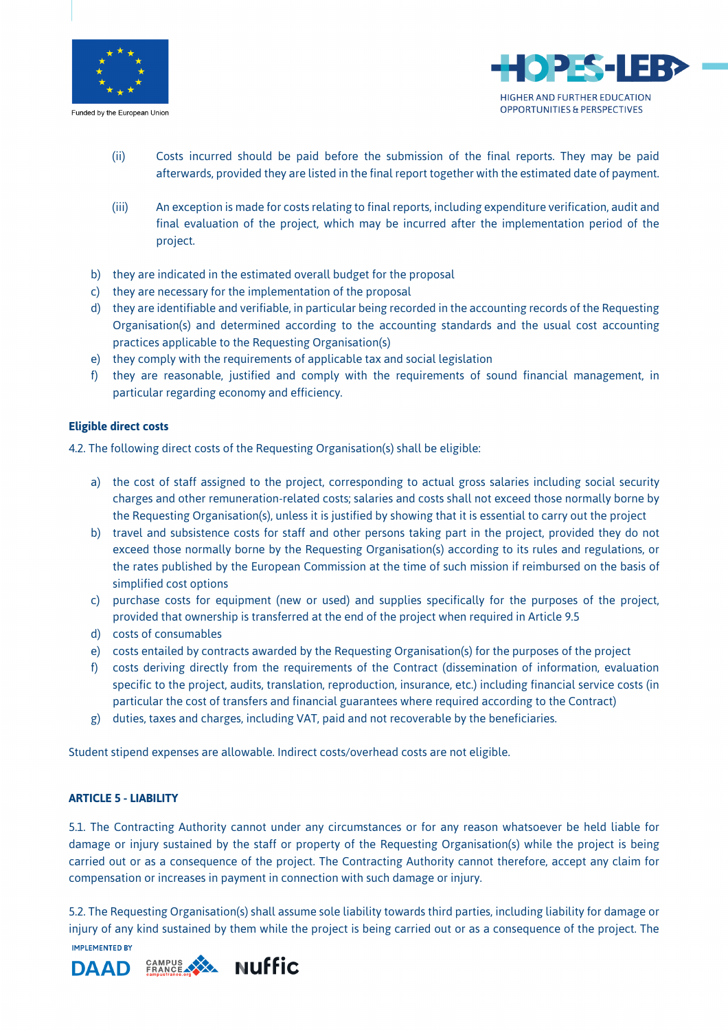

Funded by the European Union



- (ii) Costs incurred should be paid before the submission of the final reports. They may be paid afterwards, provided they are listed in the final report together with the estimated date of payment.
- (iii) An exception is made for costs relating to final reports, including expenditure verification, audit and final evaluation of the project, which may be incurred after the implementation period of the project.
- b) they are indicated in the estimated overall budget for the proposal
- c) they are necessary for the implementation of the proposal
- d) they are identifiable and verifiable, in particular being recorded in the accounting records of the Requesting Organisation(s) and determined according to the accounting standards and the usual cost accounting practices applicable to the Requesting Organisation(s)
- e) they comply with the requirements of applicable tax and social legislation
- f) they are reasonable, justified and comply with the requirements of sound financial management, in particular regarding economy and efficiency.

## **Eligible direct costs**

4.2. The following direct costs of the Requesting Organisation(s) shall be eligible:

- a) the cost of staff assigned to the project, corresponding to actual gross salaries including social security charges and other remuneration-related costs; salaries and costs shall not exceed those normally borne by the Requesting Organisation(s), unless it is justified by showing that it is essential to carry out the project
- b) travel and subsistence costs for staff and other persons taking part in the project, provided they do not exceed those normally borne by the Requesting Organisation(s) according to its rules and regulations, or the rates published by the European Commission at the time of such mission if reimbursed on the basis of simplified cost options
- c) purchase costs for equipment (new or used) and supplies specifically for the purposes of the project, provided that ownership is transferred at the end of the project when required in Article 9.5
- d) costs of consumables
- e) costs entailed by contracts awarded by the Requesting Organisation(s) for the purposes of the project
- f) costs deriving directly from the requirements of the Contract (dissemination of information, evaluation specific to the project, audits, translation, reproduction, insurance, etc.) including financial service costs (in particular the cost of transfers and financial guarantees where required according to the Contract)
- g) duties, taxes and charges, including VAT, paid and not recoverable by the beneficiaries.

Student stipend expenses are allowable. Indirect costs/overhead costs are not eligible.

# **ARTICLE 5 - LIABILITY**

5.1. The Contracting Authority cannot under any circumstances or for any reason whatsoever be held liable for damage or injury sustained by the staff or property of the Requesting Organisation(s) while the project is being carried out or as a consequence of the project. The Contracting Authority cannot therefore, accept any claim for compensation or increases in payment in connection with such damage or injury.

5.2. The Requesting Organisation(s) shall assume sole liability towards third parties, including liability for damage or injury of any kind sustained by them while the project is being carried out or as a consequence of the project. The **IMPLEMENTED BY** 

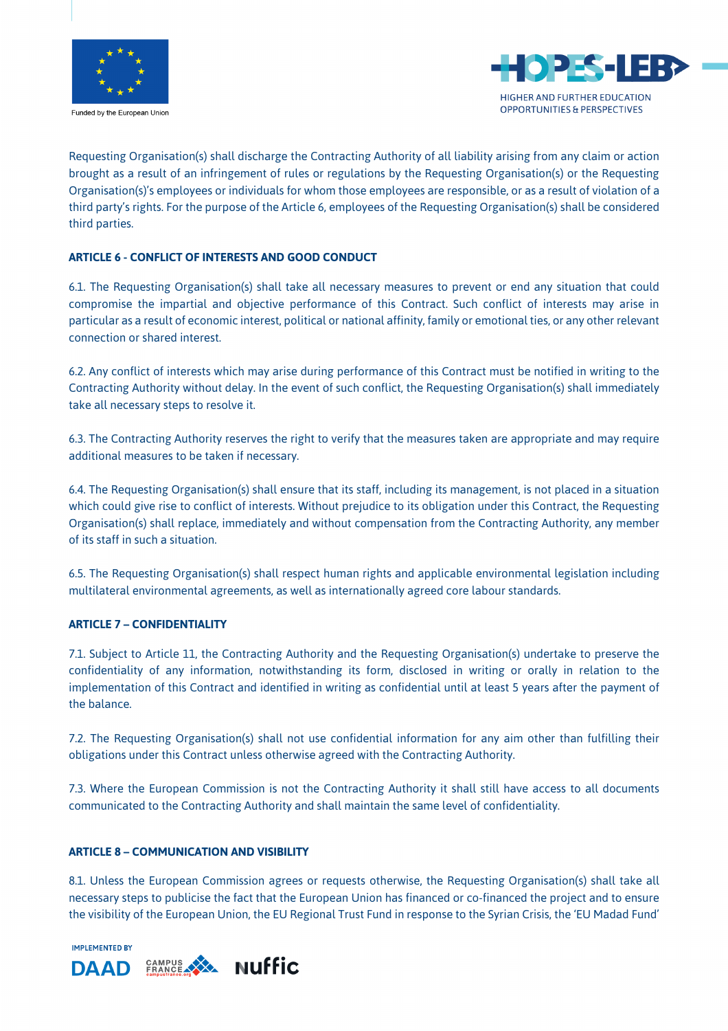

Funded by the European Union



Requesting Organisation(s) shall discharge the Contracting Authority of all liability arising from any claim or action brought as a result of an infringement of rules or regulations by the Requesting Organisation(s) or the Requesting Organisation(s)'s employees or individuals for whom those employees are responsible, or as a result of violation of a third party's rights. For the purpose of the Article 6, employees of the Requesting Organisation(s) shall be considered third parties.

# **ARTICLE 6 - CONFLICT OF INTERESTS AND GOOD CONDUCT**

6.1. The Requesting Organisation(s) shall take all necessary measures to prevent or end any situation that could compromise the impartial and objective performance of this Contract. Such conflict of interests may arise in particular as a result of economic interest, political or national affinity, family or emotional ties, or any other relevant connection or shared interest.

6.2. Any conflict of interests which may arise during performance of this Contract must be notified in writing to the Contracting Authority without delay. In the event of such conflict, the Requesting Organisation(s) shall immediately take all necessary steps to resolve it.

6.3. The Contracting Authority reserves the right to verify that the measures taken are appropriate and may require additional measures to be taken if necessary.

6.4. The Requesting Organisation(s) shall ensure that its staff, including its management, is not placed in a situation which could give rise to conflict of interests. Without prejudice to its obligation under this Contract, the Requesting Organisation(s) shall replace, immediately and without compensation from the Contracting Authority, any member of its staff in such a situation.

6.5. The Requesting Organisation(s) shall respect human rights and applicable environmental legislation including multilateral environmental agreements, as well as internationally agreed core labour standards.

# **ARTICLE 7 – CONFIDENTIALITY**

7.1. Subject to Article 11, the Contracting Authority and the Requesting Organisation(s) undertake to preserve the confidentiality of any information, notwithstanding its form, disclosed in writing or orally in relation to the implementation of this Contract and identified in writing as confidential until at least 5 years after the payment of the balance.

7.2. The Requesting Organisation(s) shall not use confidential information for any aim other than fulfilling their obligations under this Contract unless otherwise agreed with the Contracting Authority.

7.3. Where the European Commission is not the Contracting Authority it shall still have access to all documents communicated to the Contracting Authority and shall maintain the same level of confidentiality.

## **ARTICLE 8 – COMMUNICATION AND VISIBILITY**

8.1. Unless the European Commission agrees or requests otherwise, the Requesting Organisation(s) shall take all necessary steps to publicise the fact that the European Union has financed or co-financed the project and to ensure the visibility of the European Union, the EU Regional Trust Fund in response to the Syrian Crisis, the 'EU Madad Fund'

**IMPLEMENTED BY** 

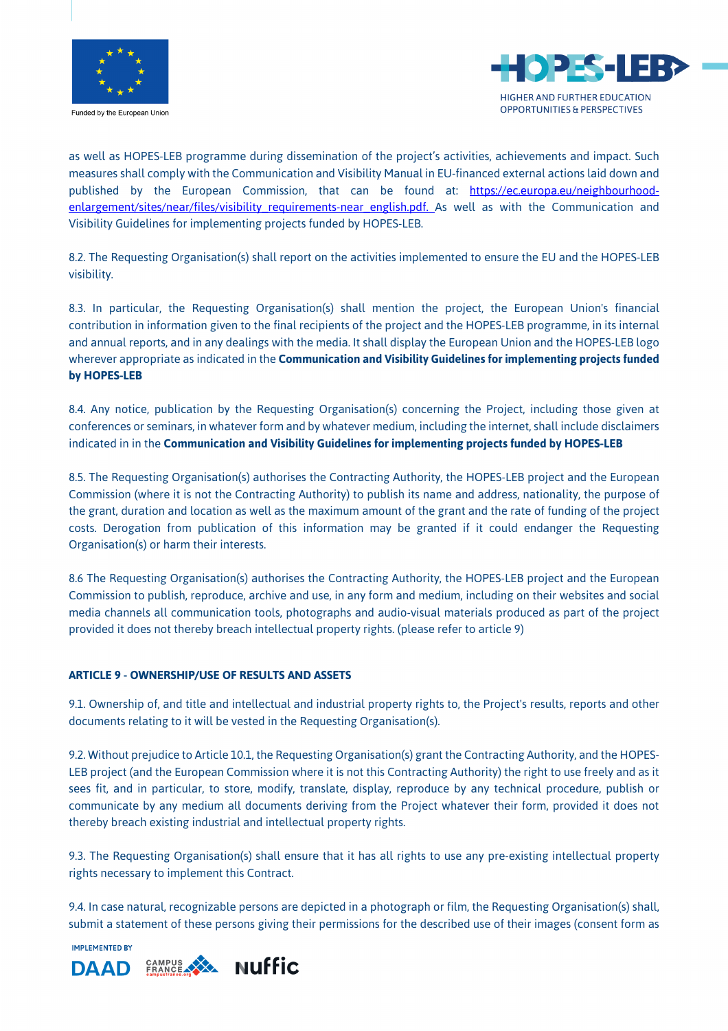

Funded by the European Union



as well as HOPES-LEB programme during dissemination of the project's activities, achievements and impact. Such measures shall comply with the Communication and Visibility Manual in EU-financed external actions laid down and published by the European Commission, that can be found at: https://ec.europa.eu/neighbourhoodenlargement/sites/near/files/visibility requirements-near english.pdf. As well as with the Communication and Visibility Guidelines for implementing projects funded by HOPES-LEB.

8.2. The Requesting Organisation(s) shall report on the activities implemented to ensure the EU and the HOPES-LEB visibility.

8.3. In particular, the Requesting Organisation(s) shall mention the project, the European Union's financial contribution in information given to the final recipients of the project and the HOPES-LEB programme, in its internal and annual reports, and in any dealings with the media. It shall display the European Union and the HOPES-LEB logo wherever appropriate as indicated in the **Communication and Visibility Guidelines for implementing projects funded by HOPES-LEB**

8.4. Any notice, publication by the Requesting Organisation(s) concerning the Project, including those given at conferences or seminars, in whatever form and by whatever medium, including the internet, shall include disclaimers indicated in in the **Communication and Visibility Guidelines for implementing projects funded by HOPES-LEB** 

8.5. The Requesting Organisation(s) authorises the Contracting Authority, the HOPES-LEB project and the European Commission (where it is not the Contracting Authority) to publish its name and address, nationality, the purpose of the grant, duration and location as well as the maximum amount of the grant and the rate of funding of the project costs. Derogation from publication of this information may be granted if it could endanger the Requesting Organisation(s) or harm their interests.

8.6 The Requesting Organisation(s) authorises the Contracting Authority, the HOPES-LEB project and the European Commission to publish, reproduce, archive and use, in any form and medium, including on their websites and social media channels all communication tools, photographs and audio-visual materials produced as part of the project provided it does not thereby breach intellectual property rights. (please refer to article 9)

## **ARTICLE 9 - OWNERSHIP/USE OF RESULTS AND ASSETS**

9.1. Ownership of, and title and intellectual and industrial property rights to, the Project's results, reports and other documents relating to it will be vested in the Requesting Organisation(s).

9.2. Without prejudice to Article 10.1, the Requesting Organisation(s) grant the Contracting Authority, and the HOPES-LEB project (and the European Commission where it is not this Contracting Authority) the right to use freely and as it sees fit, and in particular, to store, modify, translate, display, reproduce by any technical procedure, publish or communicate by any medium all documents deriving from the Project whatever their form, provided it does not thereby breach existing industrial and intellectual property rights.

9.3. The Requesting Organisation(s) shall ensure that it has all rights to use any pre-existing intellectual property rights necessary to implement this Contract.

9.4. In case natural, recognizable persons are depicted in a photograph or film, the Requesting Organisation(s) shall, submit a statement of these persons giving their permissions for the described use of their images (consent form as

IMPI EMENTED BY

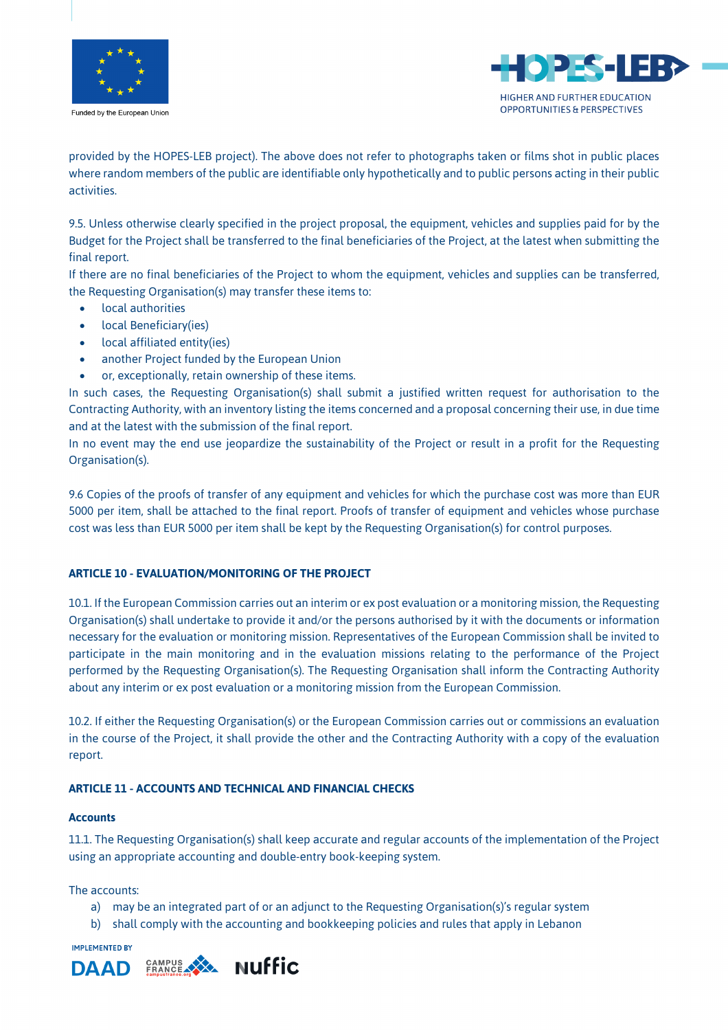

Funded by the European Union



provided by the HOPES-LEB project). The above does not refer to photographs taken or films shot in public places where random members of the public are identifiable only hypothetically and to public persons acting in their public activities.

9.5. Unless otherwise clearly specified in the project proposal, the equipment, vehicles and supplies paid for by the Budget for the Project shall be transferred to the final beneficiaries of the Project, at the latest when submitting the final report.

If there are no final beneficiaries of the Project to whom the equipment, vehicles and supplies can be transferred, the Requesting Organisation(s) may transfer these items to:

- local authorities
- local Beneficiary(ies)
- local affiliated entity(ies)
- another Project funded by the European Union
- or, exceptionally, retain ownership of these items.

In such cases, the Requesting Organisation(s) shall submit a justified written request for authorisation to the Contracting Authority, with an inventory listing the items concerned and a proposal concerning their use, in due time and at the latest with the submission of the final report.

In no event may the end use jeopardize the sustainability of the Project or result in a profit for the Requesting Organisation(s).

9.6 Copies of the proofs of transfer of any equipment and vehicles for which the purchase cost was more than EUR 5000 per item, shall be attached to the final report. Proofs of transfer of equipment and vehicles whose purchase cost was less than EUR 5000 per item shall be kept by the Requesting Organisation(s) for control purposes.

## **ARTICLE 10 - EVALUATION/MONITORING OF THE PROJECT**

10.1. If the European Commission carries out an interim or ex post evaluation or a monitoring mission, the Requesting Organisation(s) shall undertake to provide it and/or the persons authorised by it with the documents or information necessary for the evaluation or monitoring mission. Representatives of the European Commission shall be invited to participate in the main monitoring and in the evaluation missions relating to the performance of the Project performed by the Requesting Organisation(s). The Requesting Organisation shall inform the Contracting Authority about any interim or ex post evaluation or a monitoring mission from the European Commission.

10.2. If either the Requesting Organisation(s) or the European Commission carries out or commissions an evaluation in the course of the Project, it shall provide the other and the Contracting Authority with a copy of the evaluation report.

## **ARTICLE 11 - ACCOUNTS AND TECHNICAL AND FINANCIAL CHECKS**

#### **Accounts**

11.1. The Requesting Organisation(s) shall keep accurate and regular accounts of the implementation of the Project using an appropriate accounting and double-entry book-keeping system.

The accounts:

- a) may be an integrated part of or an adjunct to the Requesting Organisation(s)'s regular system
- b) shall comply with the accounting and bookkeeping policies and rules that apply in Lebanon

**IMPLEMENTED BY** 

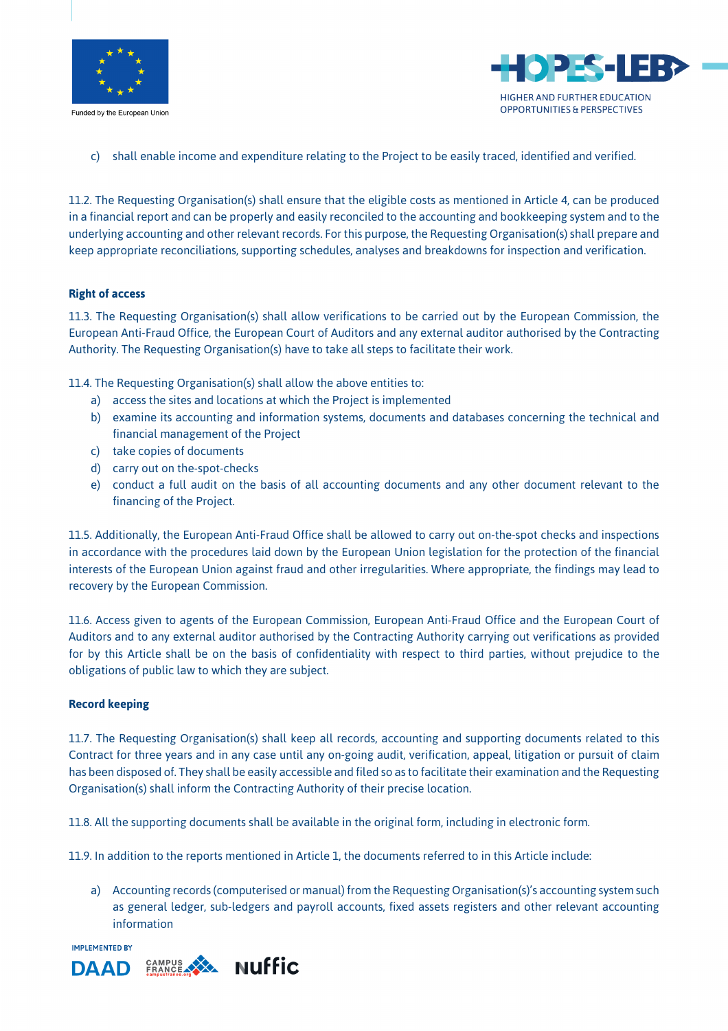



c) shall enable income and expenditure relating to the Project to be easily traced, identified and verified.

11.2. The Requesting Organisation(s) shall ensure that the eligible costs as mentioned in Article 4, can be produced in a financial report and can be properly and easily reconciled to the accounting and bookkeeping system and to the underlying accounting and other relevant records. For this purpose, the Requesting Organisation(s) shall prepare and keep appropriate reconciliations, supporting schedules, analyses and breakdowns for inspection and verification.

#### **Right of access**

11.3. The Requesting Organisation(s) shall allow verifications to be carried out by the European Commission, the European Anti-Fraud Office, the European Court of Auditors and any external auditor authorised by the Contracting Authority. The Requesting Organisation(s) have to take all steps to facilitate their work.

11.4. The Requesting Organisation(s) shall allow the above entities to:

- a) access the sites and locations at which the Project is implemented
- b) examine its accounting and information systems, documents and databases concerning the technical and financial management of the Project
- c) take copies of documents
- d) carry out on the-spot-checks
- e) conduct a full audit on the basis of all accounting documents and any other document relevant to the financing of the Project.

11.5. Additionally, the European Anti-Fraud Office shall be allowed to carry out on-the-spot checks and inspections in accordance with the procedures laid down by the European Union legislation for the protection of the financial interests of the European Union against fraud and other irregularities. Where appropriate, the findings may lead to recovery by the European Commission.

11.6. Access given to agents of the European Commission, European Anti-Fraud Office and the European Court of Auditors and to any external auditor authorised by the Contracting Authority carrying out verifications as provided for by this Article shall be on the basis of confidentiality with respect to third parties, without prejudice to the obligations of public law to which they are subject.

#### **Record keeping**

11.7. The Requesting Organisation(s) shall keep all records, accounting and supporting documents related to this Contract for three years and in any case until any on-going audit, verification, appeal, litigation or pursuit of claim has been disposed of. They shall be easily accessible and filed so as to facilitate their examination and the Requesting Organisation(s) shall inform the Contracting Authority of their precise location.

11.8. All the supporting documents shall be available in the original form, including in electronic form.

11.9. In addition to the reports mentioned in Article 1, the documents referred to in this Article include:

a) Accounting records (computerised or manual) from the Requesting Organisation(s)'s accounting system such as general ledger, sub-ledgers and payroll accounts, fixed assets registers and other relevant accounting information

IMPI EMENTED RY